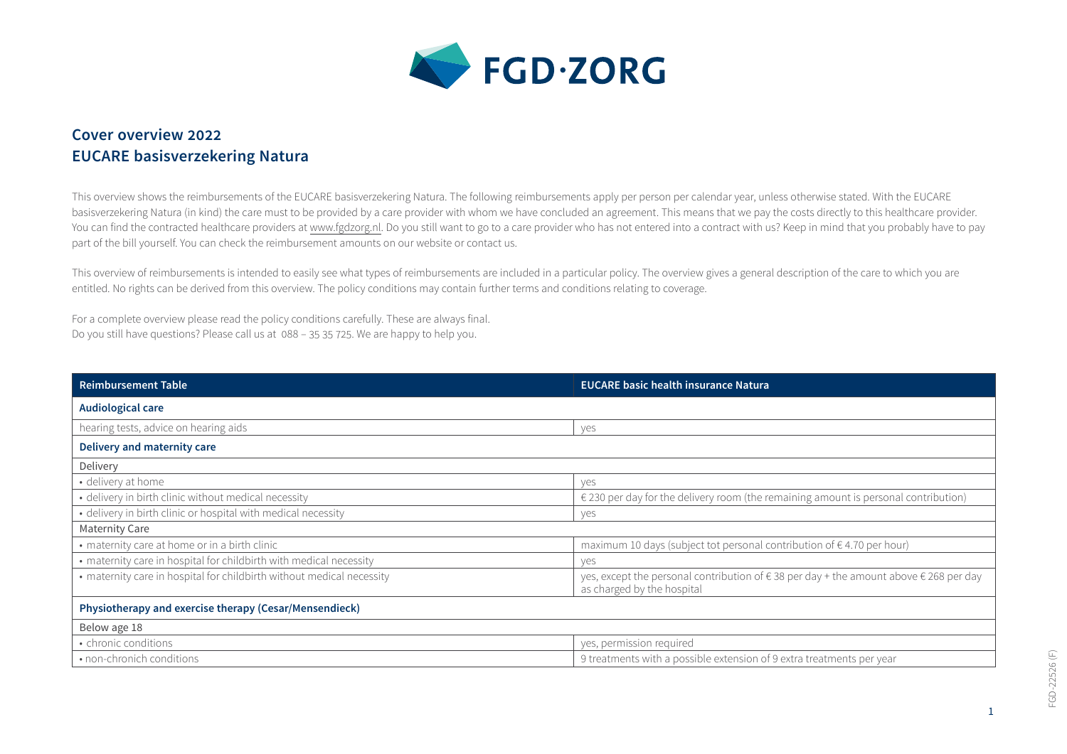

## **Cover overview 2022 EUCARE basisverzekering Natura**

This overview shows the reimbursements of the EUCARE basisverzekering Natura. The following reimbursements apply per person per calendar year, unless otherwise stated. With the EUCARE basisverzekering Natura (in kind) the care must to be provided by a care provider with whom we have concluded an agreement. This means that we pay the costs directly to this healthcare provider. You can find the contracted healthcare providers at [www.fgdzorg.nl.](http://www.fgdzorg.nl) Do you still want to go to a care provider who has not entered into a contract with us? Keep in mind that you probably have to pay part of the bill yourself. You can check the reimbursement amounts on our website or contact us.

This overview of reimbursements is intended to easily see what types of reimbursements are included in a particular policy. The overview gives a general description of the care to which you are entitled. No rights can be derived from this overview. The policy conditions may contain further terms and conditions relating to coverage.

For a complete overview please read the policy conditions carefully. These are always final. Do you still have questions? Please call us at 088 – 35 35 725. We are happy to help you.

| <b>Reimbursement Table</b>                                            | <b>EUCARE basic health insurance Natura</b>                                                                        |  |
|-----------------------------------------------------------------------|--------------------------------------------------------------------------------------------------------------------|--|
| Audiological care                                                     |                                                                                                                    |  |
| hearing tests, advice on hearing aids                                 | yes                                                                                                                |  |
| Delivery and maternity care                                           |                                                                                                                    |  |
| Delivery                                                              |                                                                                                                    |  |
| • delivery at home                                                    | ves                                                                                                                |  |
| • delivery in birth clinic without medical necessity                  | $\epsilon$ 230 per day for the delivery room (the remaining amount is personal contribution)                       |  |
| · delivery in birth clinic or hospital with medical necessity         | ves                                                                                                                |  |
| <b>Maternity Care</b>                                                 |                                                                                                                    |  |
| • maternity care at home or in a birth clinic                         | maximum 10 days (subject tot personal contribution of €4.70 per hour)                                              |  |
| • maternity care in hospital for childbirth with medical necessity    | ves                                                                                                                |  |
| • maternity care in hospital for childbirth without medical necessity | yes, except the personal contribution of €38 per day + the amount above €268 per day<br>as charged by the hospital |  |
| Physiotherapy and exercise therapy (Cesar/Mensendieck)                |                                                                                                                    |  |
| Below age 18                                                          |                                                                                                                    |  |
| • chronic conditions                                                  | yes, permission required                                                                                           |  |
| • non-chronich conditions                                             | 9 treatments with a possible extension of 9 extra treatments per year                                              |  |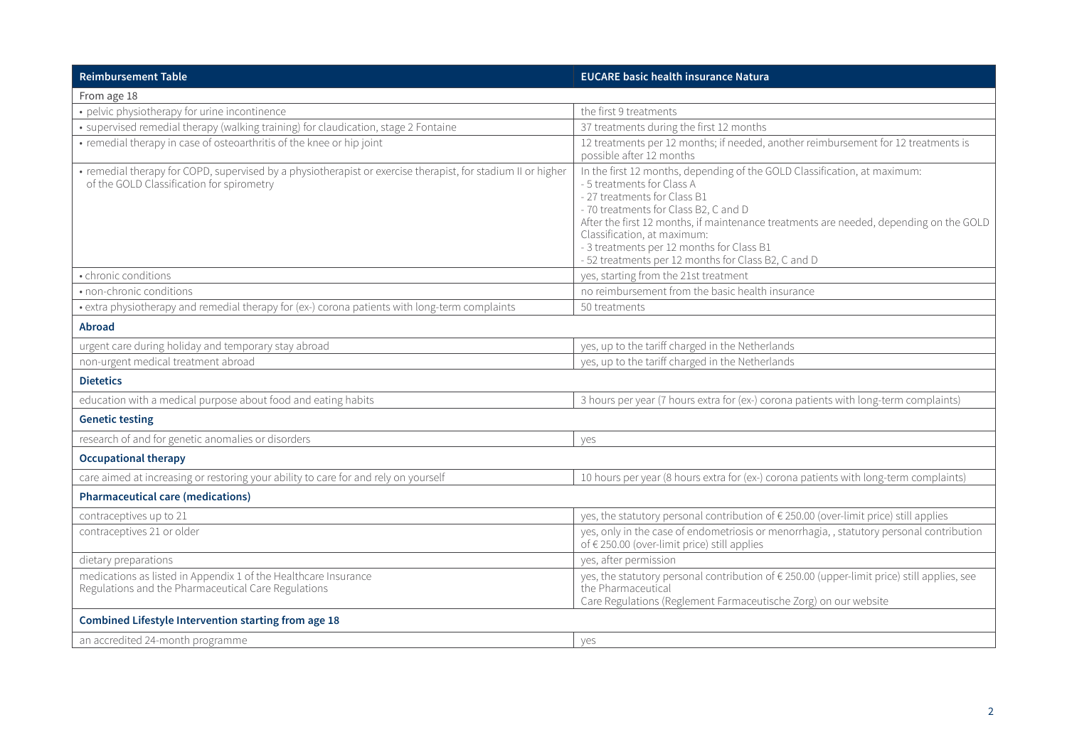| <b>Reimbursement Table</b>                                                                                                                                | <b>EUCARE basic health insurance Natura</b>                                                                                                                                                                                                                                                                                                                                                                   |  |
|-----------------------------------------------------------------------------------------------------------------------------------------------------------|---------------------------------------------------------------------------------------------------------------------------------------------------------------------------------------------------------------------------------------------------------------------------------------------------------------------------------------------------------------------------------------------------------------|--|
| From age 18                                                                                                                                               |                                                                                                                                                                                                                                                                                                                                                                                                               |  |
| • pelvic physiotherapy for urine incontinence                                                                                                             | the first 9 treatments                                                                                                                                                                                                                                                                                                                                                                                        |  |
| • supervised remedial therapy (walking training) for claudication, stage 2 Fontaine                                                                       | 37 treatments during the first 12 months                                                                                                                                                                                                                                                                                                                                                                      |  |
| • remedial therapy in case of osteoarthritis of the knee or hip joint                                                                                     | 12 treatments per 12 months; if needed, another reimbursement for 12 treatments is<br>possible after 12 months                                                                                                                                                                                                                                                                                                |  |
| • remedial therapy for COPD, supervised by a physiotherapist or exercise therapist, for stadium II or higher<br>of the GOLD Classification for spirometry | In the first 12 months, depending of the GOLD Classification, at maximum:<br>- 5 treatments for Class A<br>- 27 treatments for Class B1<br>- 70 treatments for Class B2, C and D<br>After the first 12 months, if maintenance treatments are needed, depending on the GOLD<br>Classification, at maximum:<br>- 3 treatments per 12 months for Class B1<br>- 52 treatments per 12 months for Class B2, C and D |  |
| • chronic conditions                                                                                                                                      | yes, starting from the 21st treatment                                                                                                                                                                                                                                                                                                                                                                         |  |
| • non-chronic conditions                                                                                                                                  | no reimbursement from the basic health insurance                                                                                                                                                                                                                                                                                                                                                              |  |
| • extra physiotherapy and remedial therapy for (ex-) corona patients with long-term complaints                                                            | 50 treatments                                                                                                                                                                                                                                                                                                                                                                                                 |  |
| Abroad                                                                                                                                                    |                                                                                                                                                                                                                                                                                                                                                                                                               |  |
| urgent care during holiday and temporary stay abroad                                                                                                      | yes, up to the tariff charged in the Netherlands                                                                                                                                                                                                                                                                                                                                                              |  |
| non-urgent medical treatment abroad                                                                                                                       | yes, up to the tariff charged in the Netherlands                                                                                                                                                                                                                                                                                                                                                              |  |
| <b>Dietetics</b>                                                                                                                                          |                                                                                                                                                                                                                                                                                                                                                                                                               |  |
| education with a medical purpose about food and eating habits                                                                                             | 3 hours per year (7 hours extra for (ex-) corona patients with long-term complaints)                                                                                                                                                                                                                                                                                                                          |  |
| <b>Genetic testing</b>                                                                                                                                    |                                                                                                                                                                                                                                                                                                                                                                                                               |  |
| research of and for genetic anomalies or disorders                                                                                                        | yes                                                                                                                                                                                                                                                                                                                                                                                                           |  |
| <b>Occupational therapy</b>                                                                                                                               |                                                                                                                                                                                                                                                                                                                                                                                                               |  |
| care aimed at increasing or restoring your ability to care for and rely on yourself                                                                       | 10 hours per year (8 hours extra for (ex-) corona patients with long-term complaints)                                                                                                                                                                                                                                                                                                                         |  |
| <b>Pharmaceutical care (medications)</b>                                                                                                                  |                                                                                                                                                                                                                                                                                                                                                                                                               |  |
| contraceptives up to 21                                                                                                                                   | yes, the statutory personal contribution of € 250.00 (over-limit price) still applies                                                                                                                                                                                                                                                                                                                         |  |
| contraceptives 21 or older                                                                                                                                | yes, only in the case of endometriosis or menorrhagia, , statutory personal contribution<br>of € 250.00 (over-limit price) still applies                                                                                                                                                                                                                                                                      |  |
| dietary preparations                                                                                                                                      | yes, after permission                                                                                                                                                                                                                                                                                                                                                                                         |  |
| medications as listed in Appendix 1 of the Healthcare Insurance<br>Regulations and the Pharmaceutical Care Regulations                                    | yes, the statutory personal contribution of € 250.00 (upper-limit price) still applies, see<br>the Pharmaceutical<br>Care Regulations (Reglement Farmaceutische Zorg) on our website                                                                                                                                                                                                                          |  |
| Combined Lifestyle Intervention starting from age 18                                                                                                      |                                                                                                                                                                                                                                                                                                                                                                                                               |  |
| an accredited 24-month programme                                                                                                                          | ves                                                                                                                                                                                                                                                                                                                                                                                                           |  |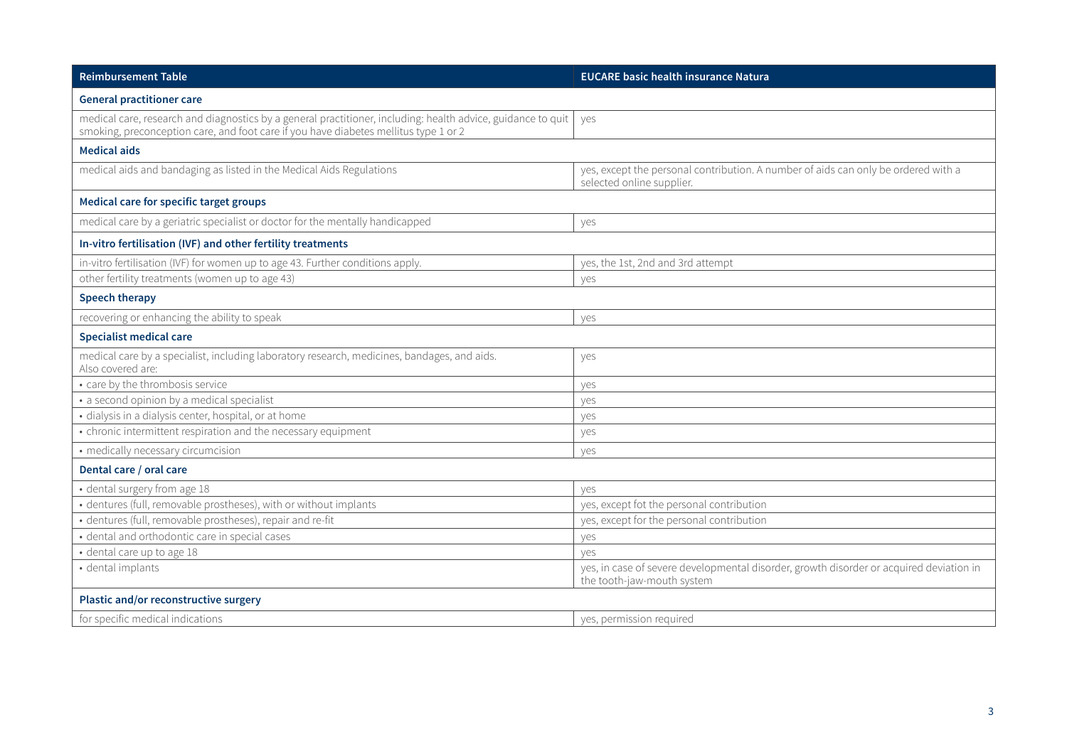| <b>Reimbursement Table</b>                                                                                                                                                                           | <b>EUCARE basic health insurance Natura</b>                                                                           |  |
|------------------------------------------------------------------------------------------------------------------------------------------------------------------------------------------------------|-----------------------------------------------------------------------------------------------------------------------|--|
| <b>General practitioner care</b>                                                                                                                                                                     |                                                                                                                       |  |
| medical care, research and diagnostics by a general practitioner, including: health advice, guidance to quit<br>smoking, preconception care, and foot care if you have diabetes mellitus type 1 or 2 | ves                                                                                                                   |  |
| <b>Medical aids</b>                                                                                                                                                                                  |                                                                                                                       |  |
| medical aids and bandaging as listed in the Medical Aids Regulations                                                                                                                                 | yes, except the personal contribution. A number of aids can only be ordered with a<br>selected online supplier.       |  |
| Medical care for specific target groups                                                                                                                                                              |                                                                                                                       |  |
| medical care by a geriatric specialist or doctor for the mentally handicapped                                                                                                                        | yes                                                                                                                   |  |
| In-vitro fertilisation (IVF) and other fertility treatments                                                                                                                                          |                                                                                                                       |  |
| in-vitro fertilisation (IVF) for women up to age 43. Further conditions apply.                                                                                                                       | yes, the 1st, 2nd and 3rd attempt                                                                                     |  |
| other fertility treatments (women up to age 43)                                                                                                                                                      | yes                                                                                                                   |  |
| <b>Speech therapy</b>                                                                                                                                                                                |                                                                                                                       |  |
| recovering or enhancing the ability to speak                                                                                                                                                         | yes                                                                                                                   |  |
| <b>Specialist medical care</b>                                                                                                                                                                       |                                                                                                                       |  |
| medical care by a specialist, including laboratory research, medicines, bandages, and aids.<br>Also covered are:                                                                                     | yes                                                                                                                   |  |
| • care by the thrombosis service                                                                                                                                                                     | yes                                                                                                                   |  |
| • a second opinion by a medical specialist                                                                                                                                                           | yes                                                                                                                   |  |
| · dialysis in a dialysis center, hospital, or at home                                                                                                                                                | yes                                                                                                                   |  |
| • chronic intermittent respiration and the necessary equipment                                                                                                                                       | yes                                                                                                                   |  |
| • medically necessary circumcision                                                                                                                                                                   | yes                                                                                                                   |  |
| Dental care / oral care                                                                                                                                                                              |                                                                                                                       |  |
| • dental surgery from age 18                                                                                                                                                                         | ves                                                                                                                   |  |
| · dentures (full, removable prostheses), with or without implants                                                                                                                                    | yes, except fot the personal contribution                                                                             |  |
| · dentures (full, removable prostheses), repair and re-fit                                                                                                                                           | yes, except for the personal contribution                                                                             |  |
| · dental and orthodontic care in special cases                                                                                                                                                       | yes                                                                                                                   |  |
| · dental care up to age 18                                                                                                                                                                           | ves                                                                                                                   |  |
| · dental implants                                                                                                                                                                                    | yes, in case of severe developmental disorder, growth disorder or acquired deviation in<br>the tooth-jaw-mouth system |  |
| Plastic and/or reconstructive surgery                                                                                                                                                                |                                                                                                                       |  |
| for specific medical indications                                                                                                                                                                     | yes, permission required                                                                                              |  |